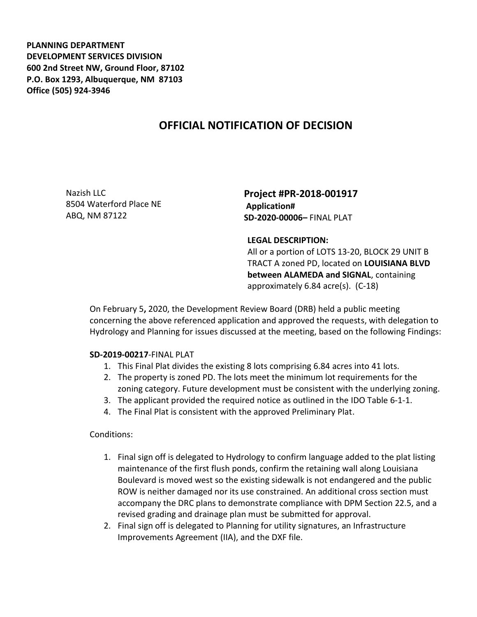**PLANNING DEPARTMENT DEVELOPMENT SERVICES DIVISION 600 2nd Street NW, Ground Floor, 87102 P.O. Box 1293, Albuquerque, NM 87103 Office (505) 924-3946** 

## **OFFICIAL NOTIFICATION OF DECISION**

Nazish LLC 8504 Waterford Place NE ABQ, NM 87122

**Project #PR-2018-001917 Application# SD-2020-00006–** FINAL PLAT

## **LEGAL DESCRIPTION:**

All or a portion of LOTS 13-20, BLOCK 29 UNIT B TRACT A zoned PD, located on **LOUISIANA BLVD between ALAMEDA and SIGNAL**, containing approximately 6.84 acre(s). (C-18)

On February 5**,** 2020, the Development Review Board (DRB) held a public meeting concerning the above referenced application and approved the requests, with delegation to Hydrology and Planning for issues discussed at the meeting, based on the following Findings:

## **SD-2019-00217**-FINAL PLAT

- 1. This Final Plat divides the existing 8 lots comprising 6.84 acres into 41 lots.
- 2. The property is zoned PD. The lots meet the minimum lot requirements for the zoning category. Future development must be consistent with the underlying zoning.
- 3. The applicant provided the required notice as outlined in the IDO Table 6-1-1.
- 4. The Final Plat is consistent with the approved Preliminary Plat.

## Conditions:

- 1. Final sign off is delegated to Hydrology to confirm language added to the plat listing maintenance of the first flush ponds, confirm the retaining wall along Louisiana Boulevard is moved west so the existing sidewalk is not endangered and the public ROW is neither damaged nor its use constrained. An additional cross section must accompany the DRC plans to demonstrate compliance with DPM Section 22.5, and a revised grading and drainage plan must be submitted for approval.
- 2. Final sign off is delegated to Planning for utility signatures, an Infrastructure Improvements Agreement (IIA), and the DXF file.